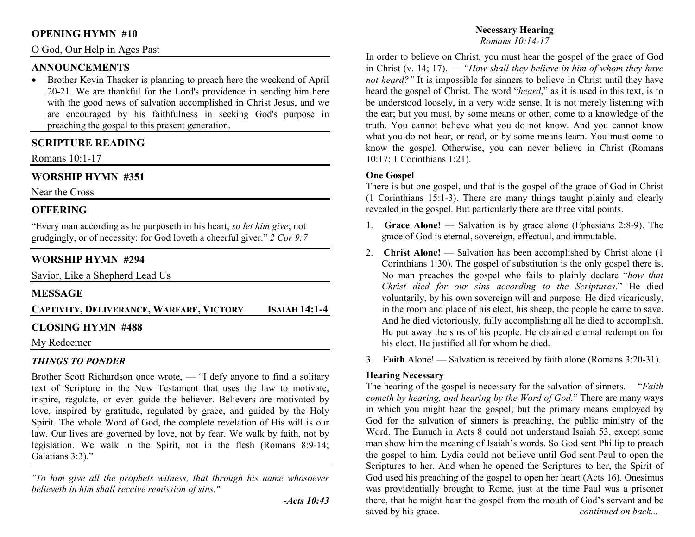## **OPENING HYMN #10**

### O God, Our Help in Ages Past

# **ANNOUNCEMENTS**

 • Brother Kevin Thacker is planning to preach here the weekend of April 20-21. We are thankful for the Lord's providence in sending him here with the good news of salvation accomplished in Christ Jesus, and we are encouraged by his faithfulness in seeking God's purpose in preaching the gospel to this present generation.

# **SCRIPTURE READING**

Romans 10:1-17

# **WORSHIP HYMN #351**

Near the Cross

# **OFFERING**

"Every man according as he purposeth in his heart, *so let him give*; not grudgingly, or of necessity: for God loveth a cheerful giver." *2 Cor 9:7*

# **WORSHIP HYMN #294**

Savior, Like a Shepherd Lead Us

# **MESSAGE**

**CAPTIVITY, DELIVERANCE, WARFARE, VICTORY<sup>I</sup>SAIAH 14:1-4** 

# **CLOSING HYMN #488**

### My Redeemer

# *THINGS TO PONDER*

 Brother Scott Richardson once wrote, — "I defy anyone to find a solitary text of Scripture in the New Testament that uses the law to motivate, inspire, regulate, or even guide the believer. Believers are motivated by love, inspired by gratitude, regulated by grace, and guided by the Holy Spirit. The whole Word of God, the complete revelation of His will is our law. Our lives are governed by love, not by fear. We walk by faith, not by legislation. We walk in the Spirit, not in the flesh (Romans 8:9-14; Galatians 3:3)."

*"To him give all the prophets witness, that through his name whosoever believeth in him shall receive remission of sins."* 

#### **Necessary Hearing***Romans 10:14-17*

In order to believe on Christ, you must hear the gospel of the grace of God in Christ (v. 14; 17). — *"How shall they believe in him of whom they have not heard?"* It is impossible for sinners to believe in Christ until they have heard the gospel of Christ. The word "*heard*," as it is used in this text, is to be understood loosely, in a very wide sense. It is not merely listening with the ear; but you must, by some means or other, come to a knowledge of the truth. You cannot believe what you do not know. And you cannot know what you do not hear, or read, or by some means learn. You must come to know the gospel. Otherwise, you can never believe in Christ (Romans 10:17; 1 Corinthians 1:21).

## **One Gospel**

 There is but one gospel, and that is the gospel of the grace of God in Christ (1 Corinthians 15:1-3). There are many things taught plainly and clearly revealed in the gospel. But particularly there are three vital points.

- 1. **Grace Alone!** Salvation is by grace alone (Ephesians 2:8-9). The grace of God is eternal, sovereign, effectual, and immutable.
- 2. **Christ Alone!** Salvation has been accomplished by Christ alone (1 Corinthians 1:30). The gospel of substitution is the only gospel there is. No man preaches the gospel who fails to plainly declare "*how that Christ died for our sins according to the Scriptures*." He died voluntarily, by his own sovereign will and purpose. He died vicariously, in the room and place of his elect, his sheep, the people he came to save. And he died victoriously, fully accomplishing all he died to accomplish. He put away the sins of his people. He obtained eternal redemption for his elect. He justified all for whom he died.
- 3. **Faith** Alone! Salvation is received by faith alone (Romans 3:20-31).

### **Hearing Necessary**

 The hearing of the gospel is necessary for the salvation of sinners. —"*Faith cometh by hearing, and hearing by the Word of God.*" There are many ways in which you might hear the gospel; but the primary means employed by God for the salvation of sinners is preaching, the public ministry of the Word. The Eunuch in Acts 8 could not understand Isaiah 53, except some man show him the meaning of Isaiah's words. So God sent Phillip to preach the gospel to him. Lydia could not believe until God sent Paul to open the Scriptures to her. And when he opened the Scriptures to her, the Spirit of God used his preaching of the gospel to open her heart (Acts 16). Onesimus was providentially brought to Rome, just at the time Paul was a prisoner there, that he might hear the gospel from the mouth of God's servant and be saved by his grace. *continued on back...*